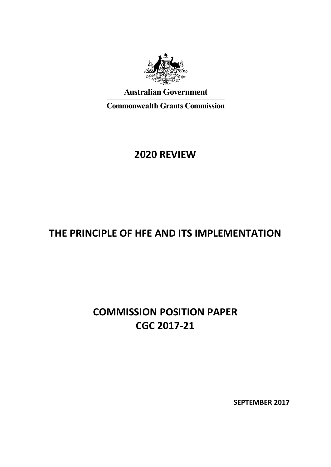

# **Australian Government**

**Commonwealth Grants Commission** 

# **2020 REVIEW**

# **THE PRINCIPLE OF HFE AND ITS IMPLEMENTATION**

# **COMMISSION POSITION PAPER CGC 2017-21**

**SEPTEMBER 2017**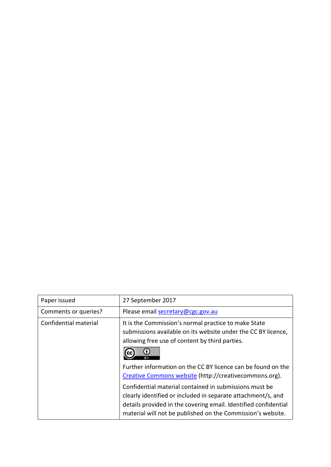| Paper issued          | 27 September 2017                                                                                                                                                                                                                                        |
|-----------------------|----------------------------------------------------------------------------------------------------------------------------------------------------------------------------------------------------------------------------------------------------------|
| Comments or queries?  | Please email secretary@cgc.gov.au                                                                                                                                                                                                                        |
| Confidential material | It is the Commission's normal practice to make State<br>submissions available on its website under the CC BY licence,<br>allowing free use of content by third parties.                                                                                  |
|                       | Further information on the CC BY licence can be found on the<br>Creative Commons website (http://creativecommons.org).                                                                                                                                   |
|                       | Confidential material contained in submissions must be<br>clearly identified or included in separate attachment/s, and<br>details provided in the covering email. Identified confidential<br>material will not be published on the Commission's website. |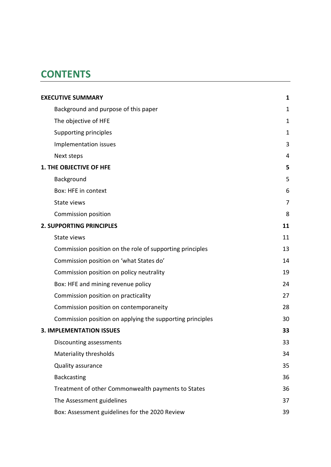# **CONTENTS**

| <b>EXECUTIVE SUMMARY</b>                                  | 1              |
|-----------------------------------------------------------|----------------|
| Background and purpose of this paper                      | $\mathbf 1$    |
| The objective of HFE                                      | 1              |
| Supporting principles                                     | $\mathbf 1$    |
| Implementation issues                                     | 3              |
| Next steps                                                | 4              |
| <b>1. THE OBJECTIVE OF HFE</b>                            | 5              |
| Background                                                | 5              |
| Box: HFE in context                                       | 6              |
| State views                                               | $\overline{7}$ |
| Commission position                                       | 8              |
| <b>2. SUPPORTING PRINCIPLES</b>                           | 11             |
| State views                                               | 11             |
| Commission position on the role of supporting principles  | 13             |
| Commission position on 'what States do'                   | 14             |
| Commission position on policy neutrality                  | 19             |
| Box: HFE and mining revenue policy                        | 24             |
| Commission position on practicality                       | 27             |
| Commission position on contemporaneity                    | 28             |
| Commission position on applying the supporting principles | 30             |
| <b>3. IMPLEMENTATION ISSUES</b>                           | 33             |
| Discounting assessments                                   | 33             |
| Materiality thresholds                                    | 34             |
| Quality assurance                                         | 35             |
| <b>Backcasting</b>                                        | 36             |
| Treatment of other Commonwealth payments to States        | 36             |
| The Assessment guidelines                                 | 37             |
| Box: Assessment guidelines for the 2020 Review            | 39             |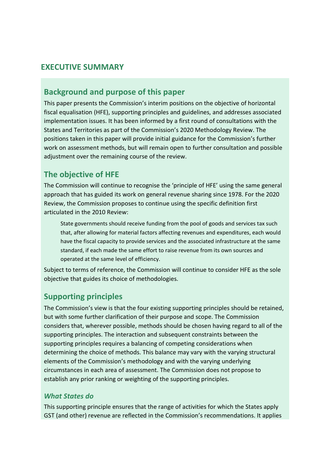### <span id="page-3-0"></span>**EXECUTIVE SUMMARY**

# <span id="page-3-1"></span>**Background and purpose of this paper**

This paper presents the Commission's interim positions on the objective of horizontal fiscal equalisation (HFE), supporting principles and guidelines, and addresses associated implementation issues. It has been informed by a first round of consultations with the States and Territories as part of the Commission's 2020 Methodology Review. The positions taken in this paper will provide initial guidance for the Commission's further work on assessment methods, but will remain open to further consultation and possible adjustment over the remaining course of the review.

# <span id="page-3-2"></span>**The objective of HFE**

The Commission will continue to recognise the 'principle of HFE' using the same general approach that has guided its work on general revenue sharing since 1978. For the 2020 Review, the Commission proposes to continue using the specific definition first articulated in the 2010 Review:

State governments should receive funding from the pool of goods and services tax such that, after allowing for material factors affecting revenues and expenditures, each would have the fiscal capacity to provide services and the associated infrastructure at the same standard, if each made the same effort to raise revenue from its own sources and operated at the same level of efficiency.

Subject to terms of reference, the Commission will continue to consider HFE as the sole objective that guides its choice of methodologies.

# <span id="page-3-3"></span>**Supporting principles**

The Commission's view is that the four existing supporting principles should be retained, but with some further clarification of their purpose and scope. The Commission considers that, wherever possible, methods should be chosen having regard to all of the supporting principles. The interaction and subsequent constraints between the supporting principles requires a balancing of competing considerations when determining the choice of methods. This balance may vary with the varying structural elements of the Commission's methodology and with the varying underlying circumstances in each area of assessment. The Commission does not propose to establish any prior ranking or weighting of the supporting principles.

#### *What States do*

This supporting principle ensures that the range of activities for which the States apply GST (and other) revenue are reflected in the Commission's recommendations. It applies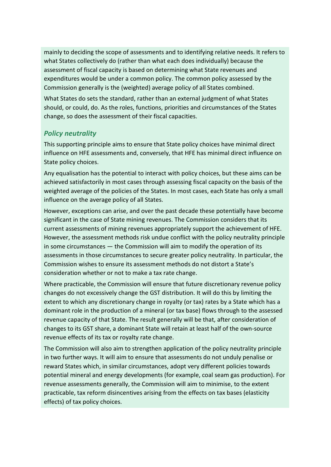mainly to deciding the scope of assessments and to identifying relative needs. It refers to what States collectively do (rather than what each does individually) because the assessment of fiscal capacity is based on determining what State revenues and expenditures would be under a common policy. The common policy assessed by the Commission generally is the (weighted) average policy of all States combined.

What States do sets the standard, rather than an external judgment of what States should, or could, do. As the roles, functions, priorities and circumstances of the States change, so does the assessment of their fiscal capacities.

#### *Policy neutrality*

This supporting principle aims to ensure that State policy choices have minimal direct influence on HFE assessments and, conversely, that HFE has minimal direct influence on State policy choices.

Any equalisation has the potential to interact with policy choices, but these aims can be achieved satisfactorily in most cases through assessing fiscal capacity on the basis of the weighted average of the policies of the States. In most cases, each State has only a small influence on the average policy of all States.

However, exceptions can arise, and over the past decade these potentially have become significant in the case of State mining revenues. The Commission considers that its current assessments of mining revenues appropriately support the achievement of HFE. However, the assessment methods risk undue conflict with the policy neutrality principle in some circumstances — the Commission will aim to modify the operation of its assessments in those circumstances to secure greater policy neutrality. In particular, the Commission wishes to ensure its assessment methods do not distort a State's consideration whether or not to make a tax rate change.

Where practicable, the Commission will ensure that future discretionary revenue policy changes do not excessively change the GST distribution. It will do this by limiting the extent to which any discretionary change in royalty (or tax) rates by a State which has a dominant role in the production of a mineral (or tax base) flows through to the assessed revenue capacity of that State. The result generally will be that, after consideration of changes to its GST share, a dominant State will retain at least half of the own-source revenue effects of its tax or royalty rate change.

The Commission will also aim to strengthen application of the policy neutrality principle in two further ways. It will aim to ensure that assessments do not unduly penalise or reward States which, in similar circumstances, adopt very different policies towards potential mineral and energy developments (for example, coal seam gas production). For revenue assessments generally, the Commission will aim to minimise, to the extent practicable, tax reform disincentives arising from the effects on tax bases (elasticity effects) of tax policy choices.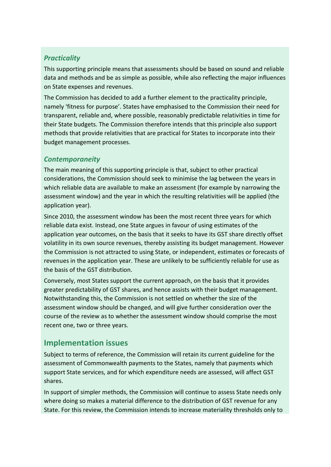#### *Practicality*

This supporting principle means that assessments should be based on sound and reliable data and methods and be as simple as possible, while also reflecting the major influences on State expenses and revenues.

The Commission has decided to add a further element to the practicality principle, namely 'fitness for purpose'. States have emphasised to the Commission their need for transparent, reliable and, where possible, reasonably predictable relativities in time for their State budgets. The Commission therefore intends that this principle also support methods that provide relativities that are practical for States to incorporate into their budget management processes.

#### *Contemporaneity*

The main meaning of this supporting principle is that, subject to other practical considerations, the Commission should seek to minimise the lag between the years in which reliable data are available to make an assessment (for example by narrowing the assessment window) and the year in which the resulting relativities will be applied (the application year).

Since 2010, the assessment window has been the most recent three years for which reliable data exist. Instead, one State argues in favour of using estimates of the application year outcomes, on the basis that it seeks to have its GST share directly offset volatility in its own source revenues, thereby assisting its budget management. However the Commission is not attracted to using State, or independent, estimates or forecasts of revenues in the application year. These are unlikely to be sufficiently reliable for use as the basis of the GST distribution.

Conversely, most States support the current approach, on the basis that it provides greater predictability of GST shares, and hence assists with their budget management. Notwithstanding this, the Commission is not settled on whether the size of the assessment window should be changed, and will give further consideration over the course of the review as to whether the assessment window should comprise the most recent one, two or three years.

# <span id="page-5-0"></span>**Implementation issues**

Subject to terms of reference, the Commission will retain its current guideline for the assessment of Commonwealth payments to the States, namely that payments which support State services, and for which expenditure needs are assessed, will affect GST shares.

In support of simpler methods, the Commission will continue to assess State needs only where doing so makes a material difference to the distribution of GST revenue for any State. For this review, the Commission intends to increase materiality thresholds only to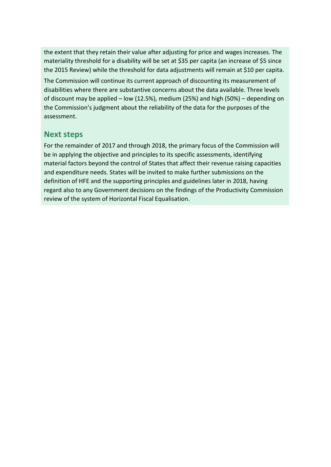the extent that they retain their value after adjusting for price and wages increases. The materiality threshold for a disability will be set at \$35 per capita (an increase of \$5 since the 2015 Review) while the threshold for data adjustments will remain at \$10 per capita.

The Commission will continue its current approach of discounting its measurement of disabilities where there are substantive concerns about the data available. Three levels of discount may be applied – low (12.5%), medium (25%) and high (50%) – depending on the Commission's judgment about the reliability of the data for the purposes of the assessment.

### <span id="page-6-0"></span>**Next steps**

For the remainder of 2017 and through 2018, the primary focus of the Commission will be in applying the objective and principles to its specific assessments, identifying material factors beyond the control of States that affect their revenue raising capacities and expenditure needs. States will be invited to make further submissions on the definition of HFE and the supporting principles and guidelines later in 2018, having regard also to any Government decisions on the findings of the Productivity Commission review of the system of Horizontal Fiscal Equalisation.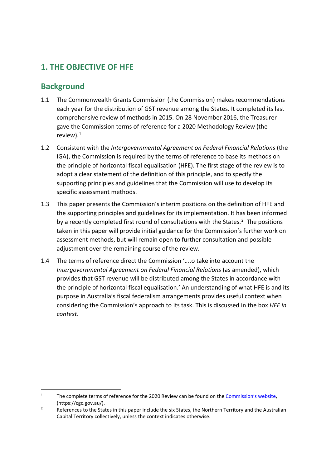# <span id="page-7-0"></span>**1. THE OBJECTIVE OF HFE**

# <span id="page-7-1"></span>**Background**

- 1.1 The Commonwealth Grants Commission (the Commission) makes recommendations each year for the distribution of GST revenue among the States. It completed its last comprehensive review of methods in 2015. On 28 November 2016, the Treasurer gave the Commission terms of reference for a 2020 Methodology Review (the review).[1](#page-7-2)
- 1.2 Consistent with the *Intergovernmental Agreement on Federal Financial Relations* (the IGA), the Commission is required by the terms of reference to base its methods on the principle of horizontal fiscal equalisation (HFE). The first stage of the review is to adopt a clear statement of the definition of this principle, and to specify the supporting principles and guidelines that the Commission will use to develop its specific assessment methods.
- 1.3 This paper presents the Commission's interim positions on the definition of HFE and the supporting principles and guidelines for its implementation. It has been informed by a recently completed first round of consultations with the States.<sup>[2](#page-7-3)</sup> The positions taken in this paper will provide initial guidance for the Commission's further work on assessment methods, but will remain open to further consultation and possible adjustment over the remaining course of the review.
- 1.4 The terms of reference direct the Commission '…to take into account the *Intergovernmental Agreement on Federal Financial Relations* (as amended), which provides that GST revenue will be distributed among the States in accordance with the principle of horizontal fiscal equalisation.' An understanding of what HFE is and its purpose in Australia's fiscal federalism arrangements provides useful context when considering the Commission's approach to its task. This is discussed in the box *HFE in context*.

<span id="page-7-2"></span><sup>&</sup>lt;sup>1</sup> The complete terms of reference for the 2020 Review can be found on the Commission's website, (https://cgc.gov.au/).

<span id="page-7-3"></span><sup>&</sup>lt;sup>2</sup> References to the States in this paper include the six States, the Northern Territory and the Australian Capital Territory collectively, unless the context indicates otherwise.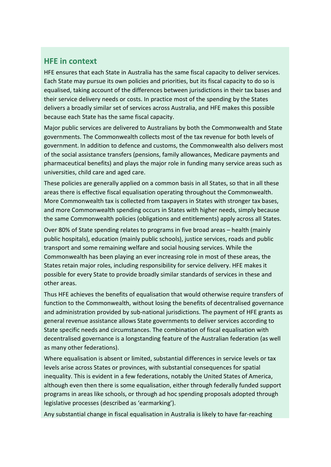### <span id="page-8-0"></span>**HFE in context**

HFE ensures that each State in Australia has the same fiscal capacity to deliver services. Each State may pursue its own policies and priorities, but its fiscal capacity to do so is equalised, taking account of the differences between jurisdictions in their tax bases and their service delivery needs or costs. In practice most of the spending by the States delivers a broadly similar set of services across Australia, and HFE makes this possible because each State has the same fiscal capacity.

Major public services are delivered to Australians by both the Commonwealth and State governments. The Commonwealth collects most of the tax revenue for both levels of government. In addition to defence and customs, the Commonwealth also delivers most of the social assistance transfers (pensions, family allowances, Medicare payments and pharmaceutical benefits) and plays the major role in funding many service areas such as universities, child care and aged care.

These policies are generally applied on a common basis in all States, so that in all these areas there is effective fiscal equalisation operating throughout the Commonwealth. More Commonwealth tax is collected from taxpayers in States with stronger tax bases, and more Commonwealth spending occurs in States with higher needs, simply because the same Commonwealth policies (obligations and entitlements) apply across all States.

Over 80% of State spending relates to programs in five broad areas – health (mainly public hospitals), education (mainly public schools), justice services, roads and public transport and some remaining welfare and social housing services. While the Commonwealth has been playing an ever increasing role in most of these areas, the States retain major roles, including responsibility for service delivery. HFE makes it possible for every State to provide broadly similar standards of services in these and other areas.

Thus HFE achieves the benefits of equalisation that would otherwise require transfers of function to the Commonwealth, without losing the benefits of decentralised governance and administration provided by sub-national jurisdictions. The payment of HFE grants as general revenue assistance allows State governments to deliver services according to State specific needs and circumstances. The combination of fiscal equalisation with decentralised governance is a longstanding feature of the Australian federation (as well as many other federations).

Where equalisation is absent or limited, substantial differences in service levels or tax levels arise across States or provinces, with substantial consequences for spatial inequality. This is evident in a few federations, notably the United States of America, although even then there is some equalisation, either through federally funded support programs in areas like schools, or through ad hoc spending proposals adopted through legislative processes (described as 'earmarking').

Any substantial change in fiscal equalisation in Australia is likely to have far-reaching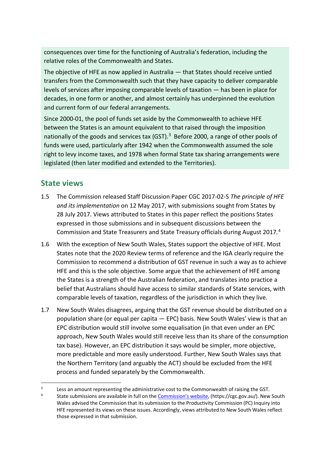consequences over time for the functioning of Australia's federation, including the relative roles of the Commonwealth and States.

The objective of HFE as now applied in Australia — that States should receive untied transfers from the Commonwealth such that they have capacity to deliver comparable levels of services after imposing comparable levels of taxation — has been in place for decades, in one form or another, and almost certainly has underpinned the evolution and current form of our federal arrangements.

Since 2000-01, the pool of funds set aside by the Commonwealth to achieve HFE between the States is an amount equivalent to that raised through the imposition nationally of the goods and services tax (GST). $3$  Before 2000, a range of other pools of funds were used, particularly after 1942 when the Commonwealth assumed the sole right to levy income taxes, and 1978 when formal State tax sharing arrangements were legislated (then later modified and extended to the Territories).

### <span id="page-9-0"></span>**State views**

- 1.5 The Commission released Staff Discussion Paper CGC 2017-02-S *The principle of HFE and its implementation* on 12 May 2017, with submissions sought from States by 28 July 2017. Views attributed to States in this paper reflect the positions States expressed in those submissions and in subsequent discussions between the Commission and State Treasurers and State Treasury officials during August 2017.[4](#page-9-2)
- 1.6 With the exception of New South Wales, States support the objective of HFE. Most States note that the 2020 Review terms of reference and the IGA clearly require the Commission to recommend a distribution of GST revenue in such a way as to achieve HFE and this is the sole objective. Some argue that the achievement of HFE among the States is a strength of the Australian federation, and translates into practice a belief that Australians should have access to similar standards of State services, with comparable levels of taxation, regardless of the jurisdiction in which they live.
- 1.7 New South Wales disagrees, arguing that the GST revenue should be distributed on a population share (or equal per capita — EPC) basis. New South Wales' view is that an EPC distribution would still involve some equalisation (in that even under an EPC approach, New South Wales would still receive less than its share of the consumption tax base). However, an EPC distribution it says would be simpler, more objective, more predictable and more easily understood. Further, New South Wales says that the Northern Territory (and arguably the ACT) should be excluded from the HFE process and funded separately by the Commonwealth.

<span id="page-9-2"></span><span id="page-9-1"></span><sup>&</sup>lt;sup>3</sup> Less an amount representing the administrative cost to the Commonwealth of raising the GST.

<sup>4</sup> State submissions are available in full on the [Commission's website,](https://cgc.gov.au/index.php?option=com_content&view=article&id=264&Itemid=544) (https://cgc.gov.au/). New South Wales advised the Commission that its submission to the Productivity Commission (PC) Inquiry into HFE represented its views on these issues. Accordingly, views attributed to New South Wales reflect those expressed in that submission.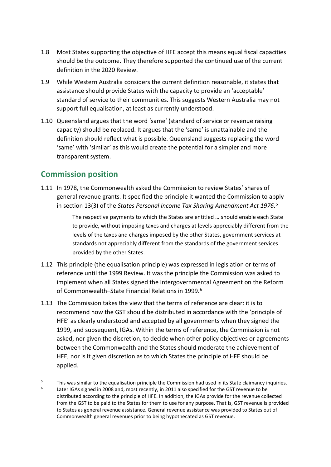- 1.8 Most States supporting the objective of HFE accept this means equal fiscal capacities should be the outcome. They therefore supported the continued use of the current definition in the 2020 Review.
- 1.9 While Western Australia considers the current definition reasonable, it states that assistance should provide States with the capacity to provide an 'acceptable' standard of service to their communities. This suggests Western Australia may not support full equalisation, at least as currently understood.
- 1.10 Queensland argues that the word 'same' (standard of service or revenue raising capacity) should be replaced. It argues that the 'same' is unattainable and the definition should reflect what is possible. Queensland suggests replacing the word 'same' with 'similar' as this would create the potential for a simpler and more transparent system.

# <span id="page-10-0"></span>**Commission position**

1.11 In 1978, the Commonwealth asked the Commission to review States' shares of general revenue grants. It specified the principle it wanted the Commission to apply in section 13(3) of the *States Personal Income Tax Sharing Amendment Act 1976*. [5](#page-10-1)

> The respective payments to which the States are entitled … should enable each State to provide, without imposing taxes and charges at levels appreciably different from the levels of the taxes and charges imposed by the other States, government services at standards not appreciably different from the standards of the government services provided by the other States.

- 1.12 This principle (the equalisation principle) was expressed in legislation or terms of reference until the 1999 Review. It was the principle the Commission was asked to implement when all States signed the Intergovernmental Agreement on the Reform of Commonwealth–State Financial Relations in 1999.<sup>6</sup>
- 1.13 The Commission takes the view that the terms of reference are clear: it is to recommend how the GST should be distributed in accordance with the 'principle of HFE' as clearly understood and accepted by all governments when they signed the 1999, and subsequent, IGAs. Within the terms of reference, the Commission is not asked, nor given the discretion, to decide when other policy objectives or agreements between the Commonwealth and the States should moderate the achievement of HFE, nor is it given discretion as to which States the principle of HFE should be applied.

<span id="page-10-2"></span><span id="page-10-1"></span><sup>&</sup>lt;sup>5</sup> This was similar to the equalisation principle the Commission had used in its State claimancy inquiries. Later IGAs signed in 2008 and, most recently, in 2011 also specified for the GST revenue to be distributed according to the principle of HFE. In addition, the IGAs provide for the revenue collected from the GST to be paid to the States for them to use for any purpose. That is, GST revenue is provided to States as general revenue assistance. General revenue assistance was provided to States out of Commonwealth general revenues prior to being hypothecated as GST revenue.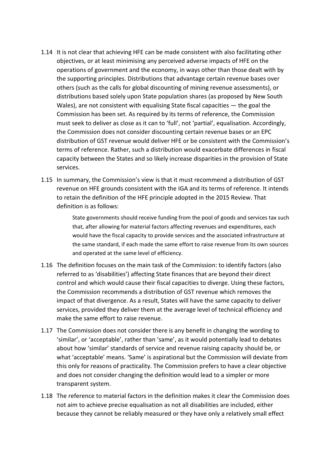- 1.14 It is not clear that achieving HFE can be made consistent with also facilitating other objectives, or at least minimising any perceived adverse impacts of HFE on the operations of government and the economy, in ways other than those dealt with by the supporting principles. Distributions that advantage certain revenue bases over others (such as the calls for global discounting of mining revenue assessments), or distributions based solely upon State population shares (as proposed by New South Wales), are not consistent with equalising State fiscal capacities — the goal the Commission has been set. As required by its terms of reference, the Commission must seek to deliver as close as it can to 'full', not 'partial', equalisation. Accordingly, the Commission does not consider discounting certain revenue bases or an EPC distribution of GST revenue would deliver HFE or be consistent with the Commission's terms of reference. Rather, such a distribution would exacerbate differences in fiscal capacity between the States and so likely increase disparities in the provision of State services.
- 1.15 In summary, the Commission's view is that it must recommend a distribution of GST revenue on HFE grounds consistent with the IGA and its terms of reference. It intends to retain the definition of the HFE principle adopted in the 2015 Review. That definition is as follows:

State governments should receive funding from the pool of goods and services tax such that, after allowing for material factors affecting revenues and expenditures, each would have the fiscal capacity to provide services and the associated infrastructure at the same standard, if each made the same effort to raise revenue from its own sources and operated at the same level of efficiency.

- 1.16 The definition focuses on the main task of the Commission: to identify factors (also referred to as 'disabilities') affecting State finances that are beyond their direct control and which would cause their fiscal capacities to diverge. Using these factors, the Commission recommends a distribution of GST revenue which removes the impact of that divergence. As a result, States will have the same capacity to deliver services, provided they deliver them at the average level of technical efficiency and make the same effort to raise revenue.
- 1.17 The Commission does not consider there is any benefit in changing the wording to 'similar', or 'acceptable', rather than 'same', as it would potentially lead to debates about how 'similar' standards of service and revenue raising capacity should be, or what 'acceptable' means. 'Same' is aspirational but the Commission will deviate from this only for reasons of practicality. The Commission prefers to have a clear objective and does not consider changing the definition would lead to a simpler or more transparent system.
- 1.18 The reference to material factors in the definition makes it clear the Commission does not aim to achieve precise equalisation as not all disabilities are included, either because they cannot be reliably measured or they have only a relatively small effect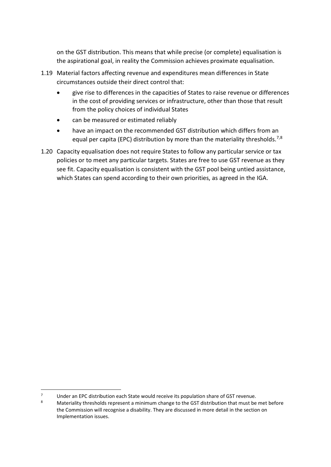on the GST distribution. This means that while precise (or complete) equalisation is the aspirational goal, in reality the Commission achieves proximate equalisation.

- 1.19 Material factors affecting revenue and expenditures mean differences in State circumstances outside their direct control that:
	- give rise to differences in the capacities of States to raise revenue or differences in the cost of providing services or infrastructure, other than those that result from the policy choices of individual States
	- can be measured or estimated reliably
	- have an impact on the recommended GST distribution which differs from an equal per capita (EPC) distribution by more than the materiality thresholds.<sup>[7,](#page-12-0)[8](#page-12-1)</sup>
- 1.20 Capacity equalisation does not require States to follow any particular service or tax policies or to meet any particular targets. States are free to use GST revenue as they see fit. Capacity equalisation is consistent with the GST pool being untied assistance, which States can spend according to their own priorities, as agreed in the IGA.

<span id="page-12-1"></span><span id="page-12-0"></span><sup>7</sup> Under an EPC distribution each State would receive its population share of GST revenue.<br>8 Materiality thresholds represent a minimum shapes to the GST distribution that must be

Materiality thresholds represent a minimum change to the GST distribution that must be met before the Commission will recognise a disability. They are discussed in more detail in the section on Implementation issues.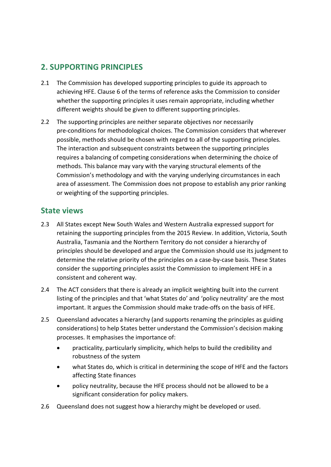# <span id="page-13-0"></span>**2. SUPPORTING PRINCIPLES**

- 2.1 The Commission has developed supporting principles to guide its approach to achieving HFE. Clause 6 of the terms of reference asks the Commission to consider whether the supporting principles it uses remain appropriate, including whether different weights should be given to different supporting principles.
- 2.2 The supporting principles are neither separate objectives nor necessarily pre-conditions for methodological choices. The Commission considers that wherever possible, methods should be chosen with regard to all of the supporting principles. The interaction and subsequent constraints between the supporting principles requires a balancing of competing considerations when determining the choice of methods. This balance may vary with the varying structural elements of the Commission's methodology and with the varying underlying circumstances in each area of assessment. The Commission does not propose to establish any prior ranking or weighting of the supporting principles.

### <span id="page-13-1"></span>**State views**

- 2.3 All States except New South Wales and Western Australia expressed support for retaining the supporting principles from the 2015 Review. In addition, Victoria, South Australia, Tasmania and the Northern Territory do not consider a hierarchy of principles should be developed and argue the Commission should use its judgment to determine the relative priority of the principles on a case-by-case basis. These States consider the supporting principles assist the Commission to implement HFE in a consistent and coherent way.
- 2.4 The ACT considers that there is already an implicit weighting built into the current listing of the principles and that 'what States do' and 'policy neutrality' are the most important. It argues the Commission should make trade-offs on the basis of HFE.
- 2.5 Queensland advocates a hierarchy (and supports renaming the principles as guiding considerations) to help States better understand the Commission's decision making processes. It emphasises the importance of:
	- practicality, particularly simplicity, which helps to build the credibility and robustness of the system
	- what States do, which is critical in determining the scope of HFE and the factors affecting State finances
	- policy neutrality, because the HFE process should not be allowed to be a significant consideration for policy makers.
- 2.6 Queensland does not suggest how a hierarchy might be developed or used.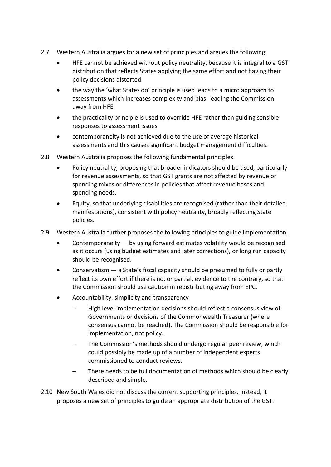- 2.7 Western Australia argues for a new set of principles and argues the following:
	- HFE cannot be achieved without policy neutrality, because it is integral to a GST distribution that reflects States applying the same effort and not having their policy decisions distorted
	- the way the 'what States do' principle is used leads to a micro approach to assessments which increases complexity and bias, leading the Commission away from HFE
	- the practicality principle is used to override HFE rather than guiding sensible responses to assessment issues
	- contemporaneity is not achieved due to the use of average historical assessments and this causes significant budget management difficulties.
- 2.8 Western Australia proposes the following fundamental principles.
	- Policy neutrality, proposing that broader indicators should be used, particularly for revenue assessments, so that GST grants are not affected by revenue or spending mixes or differences in policies that affect revenue bases and spending needs.
	- Equity, so that underlying disabilities are recognised (rather than their detailed manifestations), consistent with policy neutrality, broadly reflecting State policies.
- 2.9 Western Australia further proposes the following principles to guide implementation.
	- Contemporaneity by using forward estimates volatility would be recognised as it occurs (using budget estimates and later corrections), or long run capacity should be recognised.
	- Conservatism a State's fiscal capacity should be presumed to fully or partly reflect its own effort if there is no, or partial, evidence to the contrary, so that the Commission should use caution in redistributing away from EPC.
	- Accountability, simplicity and transparency
		- − High level implementation decisions should reflect a consensus view of Governments or decisions of the Commonwealth Treasurer (where consensus cannot be reached). The Commission should be responsible for implementation, not policy.
		- The Commission's methods should undergo regular peer review, which could possibly be made up of a number of independent experts commissioned to conduct reviews.
		- There needs to be full documentation of methods which should be clearly described and simple.
- 2.10 New South Wales did not discuss the current supporting principles. Instead, it proposes a new set of principles to guide an appropriate distribution of the GST.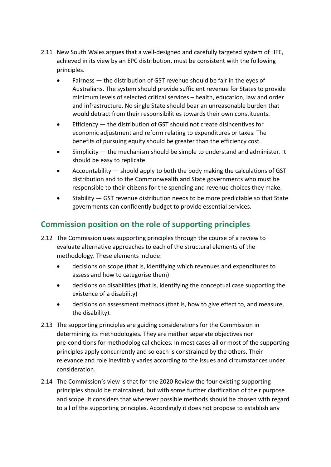- 2.11 New South Wales argues that a well-designed and carefully targeted system of HFE, achieved in its view by an EPC distribution, must be consistent with the following principles.
	- Fairness the distribution of GST revenue should be fair in the eyes of Australians. The system should provide sufficient revenue for States to provide minimum levels of selected critical services – health, education, law and order and infrastructure. No single State should bear an unreasonable burden that would detract from their responsibilities towards their own constituents.
	- Efficiency the distribution of GST should not create disincentives for economic adjustment and reform relating to expenditures or taxes. The benefits of pursuing equity should be greater than the efficiency cost.
	- Simplicity the mechanism should be simple to understand and administer. It should be easy to replicate.
	- Accountability should apply to both the body making the calculations of GST distribution and to the Commonwealth and State governments who must be responsible to their citizens for the spending and revenue choices they make.
	- Stability GST revenue distribution needs to be more predictable so that State governments can confidently budget to provide essential services.

# <span id="page-15-0"></span>**Commission position on the role of supporting principles**

- 2.12 The Commission uses supporting principles through the course of a review to evaluate alternative approaches to each of the structural elements of the methodology. These elements include:
	- decisions on scope (that is, identifying which revenues and expenditures to assess and how to categorise them)
	- decisions on disabilities (that is, identifying the conceptual case supporting the existence of a disability)
	- decisions on assessment methods (that is, how to give effect to, and measure, the disability).
- 2.13 The supporting principles are guiding considerations for the Commission in determining its methodologies. They are neither separate objectives nor pre-conditions for methodological choices. In most cases all or most of the supporting principles apply concurrently and so each is constrained by the others. Their relevance and role inevitably varies according to the issues and circumstances under consideration.
- 2.14 The Commission's view is that for the 2020 Review the four existing supporting principles should be maintained, but with some further clarification of their purpose and scope. It considers that wherever possible methods should be chosen with regard to all of the supporting principles. Accordingly it does not propose to establish any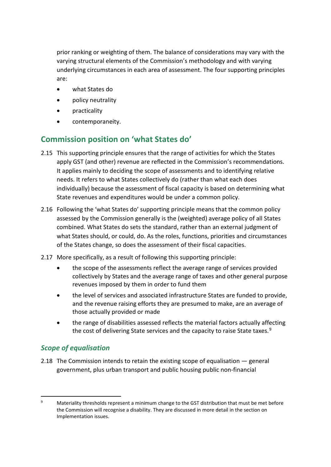prior ranking or weighting of them. The balance of considerations may vary with the varying structural elements of the Commission's methodology and with varying underlying circumstances in each area of assessment. The four supporting principles are:

- what States do
- policy neutrality
- practicality
- contemporaneity.

# <span id="page-16-0"></span>**Commission position on 'what States do'**

- 2.15 This supporting principle ensures that the range of activities for which the States apply GST (and other) revenue are reflected in the Commission's recommendations. It applies mainly to deciding the scope of assessments and to identifying relative needs. It refers to what States collectively do (rather than what each does individually) because the assessment of fiscal capacity is based on determining what State revenues and expenditures would be under a common policy.
- 2.16 Following the 'what States do' supporting principle means that the common policy assessed by the Commission generally is the (weighted) average policy of all States combined. What States do sets the standard, rather than an external judgment of what States should, or could, do. As the roles, functions, priorities and circumstances of the States change, so does the assessment of their fiscal capacities.
- 2.17 More specifically, as a result of following this supporting principle:
	- the scope of the assessments reflect the average range of services provided collectively by States and the average range of taxes and other general purpose revenues imposed by them in order to fund them
	- the level of services and associated infrastructure States are funded to provide, and the revenue raising efforts they are presumed to make, are an average of those actually provided or made
	- the range of disabilities assessed reflects the material factors actually affecting the cost of delivering State services and the capacity to raise State taxes.<sup>[9](#page-16-1)</sup>

### *Scope of equalisation*

2.18 The Commission intends to retain the existing scope of equalisation — general government, plus urban transport and public housing public non-financial

<span id="page-16-1"></span><sup>&</sup>lt;sup>9</sup> Materiality thresholds represent a minimum change to the GST distribution that must be met before the Commission will recognise a disability. They are discussed in more detail in the section on Implementation issues.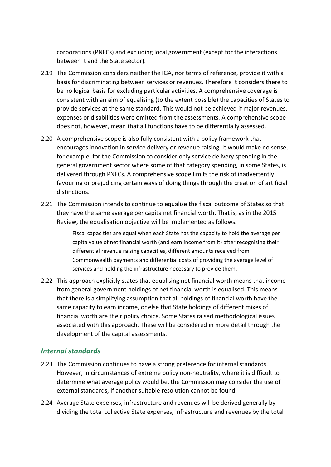corporations (PNFCs) and excluding local government (except for the interactions between it and the State sector).

- 2.19 The Commission considers neither the IGA, nor terms of reference, provide it with a basis for discriminating between services or revenues. Therefore it considers there to be no logical basis for excluding particular activities. A comprehensive coverage is consistent with an aim of equalising (to the extent possible) the capacities of States to provide services at the same standard. This would not be achieved if major revenues, expenses or disabilities were omitted from the assessments. A comprehensive scope does not, however, mean that all functions have to be differentially assessed.
- 2.20 A comprehensive scope is also fully consistent with a policy framework that encourages innovation in service delivery or revenue raising. It would make no sense, for example, for the Commission to consider only service delivery spending in the general government sector where some of that category spending, in some States, is delivered through PNFCs. A comprehensive scope limits the risk of inadvertently favouring or prejudicing certain ways of doing things through the creation of artificial distinctions.
- 2.21 The Commission intends to continue to equalise the fiscal outcome of States so that they have the same average per capita net financial worth. That is, as in the 2015 Review, the equalisation objective will be implemented as follows.

Fiscal capacities are equal when each State has the capacity to hold the average per capita value of net financial worth (and earn income from it) after recognising their differential revenue raising capacities, different amounts received from Commonwealth payments and differential costs of providing the average level of services and holding the infrastructure necessary to provide them.

2.22 This approach explicitly states that equalising net financial worth means that income from general government holdings of net financial worth is equalised. This means that there is a simplifying assumption that all holdings of financial worth have the same capacity to earn income, or else that State holdings of different mixes of financial worth are their policy choice. Some States raised methodological issues associated with this approach. These will be considered in more detail through the development of the capital assessments.

#### *Internal standards*

- 2.23 The Commission continues to have a strong preference for internal standards. However, in circumstances of extreme policy non-neutrality, where it is difficult to determine what average policy would be, the Commission may consider the use of external standards, if another suitable resolution cannot be found.
- 2.24 Average State expenses, infrastructure and revenues will be derived generally by dividing the total collective State expenses, infrastructure and revenues by the total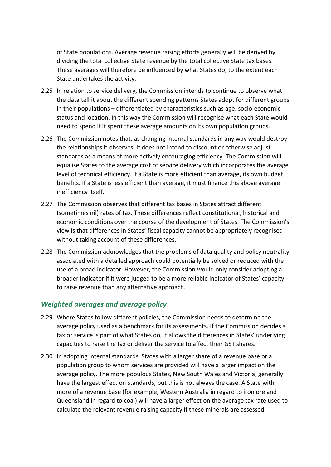of State populations. Average revenue raising efforts generally will be derived by dividing the total collective State revenue by the total collective State tax bases. These averages will therefore be influenced by what States do, to the extent each State undertakes the activity.

- 2.25 In relation to service delivery, the Commission intends to continue to observe what the data tell it about the different spending patterns States adopt for different groups in their populations – differentiated by characteristics such as age, socio-economic status and location. In this way the Commission will recognise what each State would need to spend if it spent these average amounts on its own population groups.
- 2.26 The Commission notes that, as changing internal standards in any way would destroy the relationships it observes, it does not intend to discount or otherwise adjust standards as a means of more actively encouraging efficiency. The Commission will equalise States to the average cost of service delivery which incorporates the average level of technical efficiency. If a State is more efficient than average, its own budget benefits. If a State is less efficient than average, it must finance this above average inefficiency itself.
- 2.27 The Commission observes that different tax bases in States attract different (sometimes nil) rates of tax. These differences reflect constitutional, historical and economic conditions over the course of the development of States. The Commission's view is that differences in States' fiscal capacity cannot be appropriately recognised without taking account of these differences.
- 2.28 The Commission acknowledges that the problems of data quality and policy neutrality associated with a detailed approach could potentially be solved or reduced with the use of a broad indicator. However, the Commission would only consider adopting a broader indicator if it were judged to be a more reliable indicator of States' capacity to raise revenue than any alternative approach.

#### *Weighted averages and average policy*

- 2.29 Where States follow different policies, the Commission needs to determine the average policy used as a benchmark for its assessments. If the Commission decides a tax or service is part of what States do, it allows the differences in States' underlying capacities to raise the tax or deliver the service to affect their GST shares.
- 2.30 In adopting internal standards, States with a larger share of a revenue base or a population group to whom services are provided will have a larger impact on the average policy. The more populous States, New South Wales and Victoria, generally have the largest effect on standards, but this is not always the case. A State with more of a revenue base (for example, Western Australia in regard to iron ore and Queensland in regard to coal) will have a larger effect on the average tax rate used to calculate the relevant revenue raising capacity if these minerals are assessed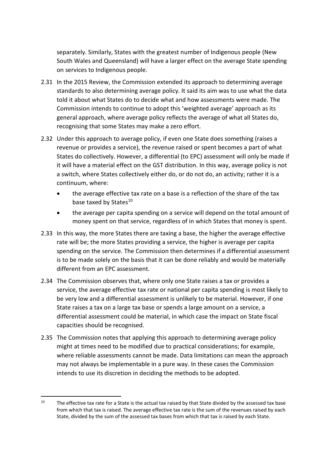separately. Similarly, States with the greatest number of Indigenous people (New South Wales and Queensland) will have a larger effect on the average State spending on services to Indigenous people.

- 2.31 In the 2015 Review, the Commission extended its approach to determining average standards to also determining average policy. It said its aim was to use what the data told it about what States do to decide what and how assessments were made. The Commission intends to continue to adopt this 'weighted average' approach as its general approach, where average policy reflects the average of what all States do, recognising that some States may make a zero effort.
- 2.32 Under this approach to average policy, if even one State does something (raises a revenue or provides a service), the revenue raised or spent becomes a part of what States do collectively. However, a differential (to EPC) assessment will only be made if it will have a material effect on the GST distribution. In this way, average policy is not a switch, where States collectively either do, or do not do, an activity; rather it is a continuum, where:
	- the average effective tax rate on a base is a reflection of the share of the tax base taxed by States<sup>[10](#page-19-0)</sup>
	- the average per capita spending on a service will depend on the total amount of money spent on that service, regardless of in which States that money is spent.
- 2.33 In this way, the more States there are taxing a base, the higher the average effective rate will be; the more States providing a service, the higher is average per capita spending on the service. The Commission then determines if a differential assessment is to be made solely on the basis that it can be done reliably and would be materially different from an EPC assessment.
- 2.34 The Commission observes that, where only one State raises a tax or provides a service, the average effective tax rate or national per capita spending is most likely to be very low and a differential assessment is unlikely to be material. However, if one State raises a tax on a large tax base or spends a large amount on a service, a differential assessment could be material, in which case the impact on State fiscal capacities should be recognised.
- 2.35 The Commission notes that applying this approach to determining average policy might at times need to be modified due to practical considerations; for example, where reliable assessments cannot be made. Data limitations can mean the approach may not always be implementable in a pure way. In these cases the Commission intends to use its discretion in deciding the methods to be adopted.

<span id="page-19-0"></span><sup>&</sup>lt;sup>10</sup> The effective tax rate for a State is the actual tax raised by that State divided by the assessed tax base from which that tax is raised. The average effective tax rate is the sum of the revenues raised by each State, divided by the sum of the assessed tax bases from which that tax is raised by each State.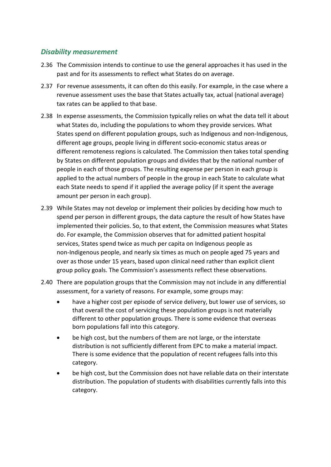#### *Disability measurement*

- 2.36 The Commission intends to continue to use the general approaches it has used in the past and for its assessments to reflect what States do on average.
- 2.37 For revenue assessments, it can often do this easily. For example, in the case where a revenue assessment uses the base that States actually tax, actual (national average) tax rates can be applied to that base.
- 2.38 In expense assessments, the Commission typically relies on what the data tell it about what States do, including the populations to whom they provide services. What States spend on different population groups, such as Indigenous and non-Indigenous, different age groups, people living in different socio-economic status areas or different remoteness regions is calculated. The Commission then takes total spending by States on different population groups and divides that by the national number of people in each of those groups. The resulting expense per person in each group is applied to the actual numbers of people in the group in each State to calculate what each State needs to spend if it applied the average policy (if it spent the average amount per person in each group).
- 2.39 While States may not develop or implement their policies by deciding how much to spend per person in different groups, the data capture the result of how States have implemented their policies. So, to that extent, the Commission measures what States do. For example, the Commission observes that for admitted patient hospital services, States spend twice as much per capita on Indigenous people as non-Indigenous people, and nearly six times as much on people aged 75 years and over as those under 15 years, based upon clinical need rather than explicit client group policy goals. The Commission's assessments reflect these observations.
- 2.40 There are population groups that the Commission may not include in any differential assessment, for a variety of reasons. For example, some groups may:
	- have a higher cost per episode of service delivery, but lower use of services, so that overall the cost of servicing these population groups is not materially different to other population groups. There is some evidence that overseas born populations fall into this category.
	- be high cost, but the numbers of them are not large, or the interstate distribution is not sufficiently different from EPC to make a material impact. There is some evidence that the population of recent refugees falls into this category.
	- be high cost, but the Commission does not have reliable data on their interstate distribution. The population of students with disabilities currently falls into this category.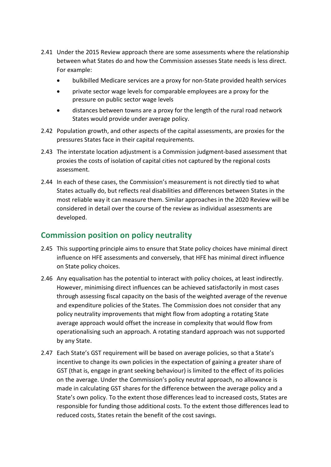- 2.41 Under the 2015 Review approach there are some assessments where the relationship between what States do and how the Commission assesses State needs is less direct. For example:
	- bulkbilled Medicare services are a proxy for non-State provided health services
	- private sector wage levels for comparable employees are a proxy for the pressure on public sector wage levels
	- distances between towns are a proxy for the length of the rural road network States would provide under average policy.
- 2.42 Population growth, and other aspects of the capital assessments, are proxies for the pressures States face in their capital requirements.
- 2.43 The interstate location adjustment is a Commission judgment-based assessment that proxies the costs of isolation of capital cities not captured by the regional costs assessment.
- 2.44 In each of these cases, the Commission's measurement is not directly tied to what States actually do, but reflects real disabilities and differences between States in the most reliable way it can measure them. Similar approaches in the 2020 Review will be considered in detail over the course of the review as individual assessments are developed.

# <span id="page-21-0"></span>**Commission position on policy neutrality**

- 2.45 This supporting principle aims to ensure that State policy choices have minimal direct influence on HFE assessments and conversely, that HFE has minimal direct influence on State policy choices.
- 2.46 Any equalisation has the potential to interact with policy choices, at least indirectly. However, minimising direct influences can be achieved satisfactorily in most cases through assessing fiscal capacity on the basis of the weighted average of the revenue and expenditure policies of the States. The Commission does not consider that any policy neutrality improvements that might flow from adopting a rotating State average approach would offset the increase in complexity that would flow from operationalising such an approach. A rotating standard approach was not supported by any State.
- 2.47 Each State's GST requirement will be based on average policies, so that a State's incentive to change its own policies in the expectation of gaining a greater share of GST (that is, engage in grant seeking behaviour) is limited to the effect of its policies on the average. Under the Commission's policy neutral approach, no allowance is made in calculating GST shares for the difference between the average policy and a State's own policy. To the extent those differences lead to increased costs, States are responsible for funding those additional costs. To the extent those differences lead to reduced costs, States retain the benefit of the cost savings.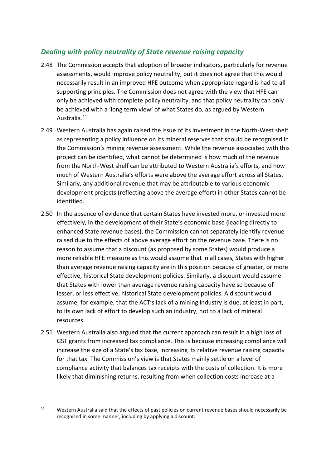#### *Dealing with policy neutrality of State revenue raising capacity*

- 2.48 The Commission accepts that adoption of broader indicators, particularly for revenue assessments, would improve policy neutrality, but it does not agree that this would necessarily result in an improved HFE outcome when appropriate regard is had to all supporting principles. The Commission does not agree with the view that HFE can only be achieved with complete policy neutrality, and that policy neutrality can only be achieved with a 'long term view' of what States do, as argued by Western Australia.[11](#page-22-0)
- 2.49 Western Australia has again raised the issue of its investment in the North-West shelf as representing a policy influence on its mineral reserves that should be recognised in the Commission's mining revenue assessment. While the revenue associated with this project can be identified, what cannot be determined is how much of the revenue from the North-West shelf can be attributed to Western Australia's efforts, and how much of Western Australia's efforts were above the average effort across all States. Similarly, any additional revenue that may be attributable to various economic development projects (reflecting above the average effort) in other States cannot be identified.
- 2.50 In the absence of evidence that certain States have invested more, or invested more effectively, in the development of their State's economic base (leading directly to enhanced State revenue bases), the Commission cannot separately identify revenue raised due to the effects of above average effort on the revenue base. There is no reason to assume that a discount (as proposed by some States) would produce a more reliable HFE measure as this would assume that in all cases, States with higher than average revenue raising capacity are in this position because of greater, or more effective, historical State development policies. Similarly, a discount would assume that States with lower than average revenue raising capacity have so because of lesser, or less effective, historical State development policies. A discount would assume, for example, that the ACT's lack of a mining industry is due, at least in part, to its own lack of effort to develop such an industry, not to a lack of mineral resources.
- 2.51 Western Australia also argued that the current approach can result in a high loss of GST grants from increased tax compliance. This is because increasing compliance will increase the size of a State's tax base, increasing its relative revenue raising capacity for that tax. The Commission's view is that States mainly settle on a level of compliance activity that balances tax receipts with the costs of collection. It is more likely that diminishing returns, resulting from when collection costs increase at a

<span id="page-22-0"></span><sup>&</sup>lt;sup>11</sup> Western Australia said that the effects of past policies on current revenue bases should necessarily be recognised in some manner, including by applying a discount.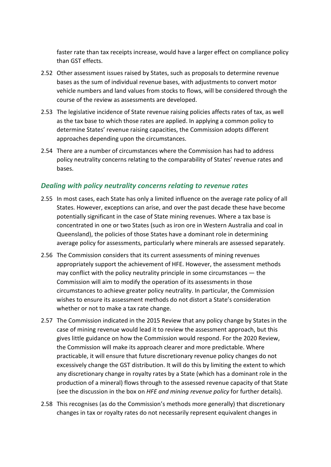faster rate than tax receipts increase, would have a larger effect on compliance policy than GST effects.

- 2.52 Other assessment issues raised by States, such as proposals to determine revenue bases as the sum of individual revenue bases, with adjustments to convert motor vehicle numbers and land values from stocks to flows, will be considered through the course of the review as assessments are developed.
- 2.53 The legislative incidence of State revenue raising policies affects rates of tax, as well as the tax base to which those rates are applied. In applying a common policy to determine States' revenue raising capacities, the Commission adopts different approaches depending upon the circumstances.
- 2.54 There are a number of circumstances where the Commission has had to address policy neutrality concerns relating to the comparability of States' revenue rates and bases.

#### *Dealing with policy neutrality concerns relating to revenue rates*

- 2.55 In most cases, each State has only a limited influence on the average rate policy of all States. However, exceptions can arise, and over the past decade these have become potentially significant in the case of State mining revenues. Where a tax base is concentrated in one or two States (such as iron ore in Western Australia and coal in Queensland), the policies of those States have a dominant role in determining average policy for assessments, particularly where minerals are assessed separately.
- 2.56 The Commission considers that its current assessments of mining revenues appropriately support the achievement of HFE. However, the assessment methods may conflict with the policy neutrality principle in some circumstances — the Commission will aim to modify the operation of its assessments in those circumstances to achieve greater policy neutrality. In particular, the Commission wishes to ensure its assessment methods do not distort a State's consideration whether or not to make a tax rate change.
- 2.57 The Commission indicated in the 2015 Review that any policy change by States in the case of mining revenue would lead it to review the assessment approach, but this gives little guidance on how the Commission would respond. For the 2020 Review, the Commission will make its approach clearer and more predictable. Where practicable, it will ensure that future discretionary revenue policy changes do not excessively change the GST distribution. It will do this by limiting the extent to which any discretionary change in royalty rates by a State (which has a dominant role in the production of a mineral) flows through to the assessed revenue capacity of that State (see the discussion in the box on *HFE and mining revenue policy* for further details).
- 2.58 This recognises (as do the Commission's methods more generally) that discretionary changes in tax or royalty rates do not necessarily represent equivalent changes in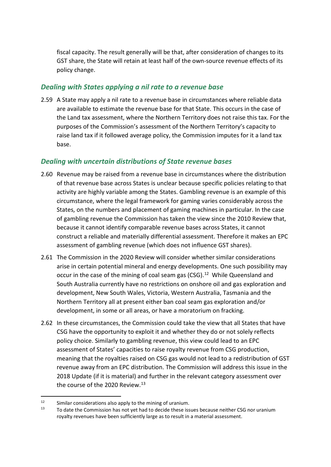fiscal capacity. The result generally will be that, after consideration of changes to its GST share, the State will retain at least half of the own-source revenue effects of its policy change.

#### *Dealing with States applying a nil rate to a revenue base*

2.59 A State may apply a nil rate to a revenue base in circumstances where reliable data are available to estimate the revenue base for that State. This occurs in the case of the Land tax assessment, where the Northern Territory does not raise this tax. For the purposes of the Commission's assessment of the Northern Territory's capacity to raise land tax if it followed average policy, the Commission imputes for it a land tax base.

#### *Dealing with uncertain distributions of State revenue bases*

- 2.60 Revenue may be raised from a revenue base in circumstances where the distribution of that revenue base across States is unclear because specific policies relating to that activity are highly variable among the States. Gambling revenue is an example of this circumstance, where the legal framework for gaming varies considerably across the States, on the numbers and placement of gaming machines in particular. In the case of gambling revenue the Commission has taken the view since the 2010 Review that, because it cannot identify comparable revenue bases across States, it cannot construct a reliable and materially differential assessment. Therefore it makes an EPC assessment of gambling revenue (which does not influence GST shares).
- 2.61 The Commission in the 2020 Review will consider whether similar considerations arise in certain potential mineral and energy developments. One such possibility may occur in the case of the mining of coal seam gas (CSG).<sup>12</sup> While Queensland and South Australia currently have no restrictions on onshore oil and gas exploration and development, New South Wales, Victoria, Western Australia, Tasmania and the Northern Territory all at present either ban coal seam gas exploration and/or development, in some or all areas, or have a moratorium on fracking.
- 2.62 In these circumstances, the Commission could take the view that all States that have CSG have the opportunity to exploit it and whether they do or not solely reflects policy choice. Similarly to gambling revenue, this view could lead to an EPC assessment of States' capacities to raise royalty revenue from CSG production, meaning that the royalties raised on CSG gas would not lead to a redistribution of GST revenue away from an EPC distribution. The Commission will address this issue in the 2018 Update (if it is material) and further in the relevant category assessment over the course of the 2020 Review.<sup>[13](#page-24-1)</sup>

<span id="page-24-0"></span><sup>&</sup>lt;sup>12</sup> Similar considerations also apply to the mining of uranium.<br> $\frac{13}{2}$  To data the Commission because that had to deside these issues

<span id="page-24-1"></span>To date the Commission has not yet had to decide these issues because neither CSG nor uranium royalty revenues have been sufficiently large as to result in a material assessment.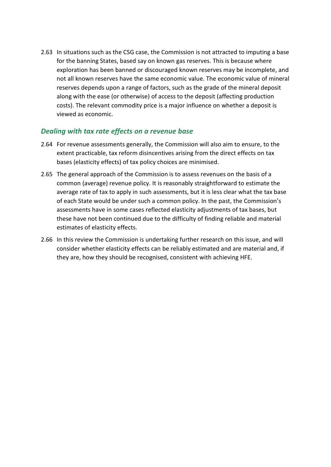2.63 In situations such as the CSG case, the Commission is not attracted to imputing a base for the banning States, based say on known gas reserves. This is because where exploration has been banned or discouraged known reserves may be incomplete, and not all known reserves have the same economic value. The economic value of mineral reserves depends upon a range of factors, such as the grade of the mineral deposit along with the ease (or otherwise) of access to the deposit (affecting production costs). The relevant commodity price is a major influence on whether a deposit is viewed as economic.

#### *Dealing with tax rate effects on a revenue base*

- 2.64 For revenue assessments generally, the Commission will also aim to ensure, to the extent practicable, tax reform disincentives arising from the direct effects on tax bases (elasticity effects) of tax policy choices are minimised.
- 2.65 The general approach of the Commission is to assess revenues on the basis of a common (average) revenue policy. It is reasonably straightforward to estimate the average rate of tax to apply in such assessments, but it is less clear what the tax base of each State would be under such a common policy. In the past, the Commission's assessments have in some cases reflected elasticity adjustments of tax bases, but these have not been continued due to the difficulty of finding reliable and material estimates of elasticity effects.
- 2.66 In this review the Commission is undertaking further research on this issue, and will consider whether elasticity effects can be reliably estimated and are material and, if they are, how they should be recognised, consistent with achieving HFE.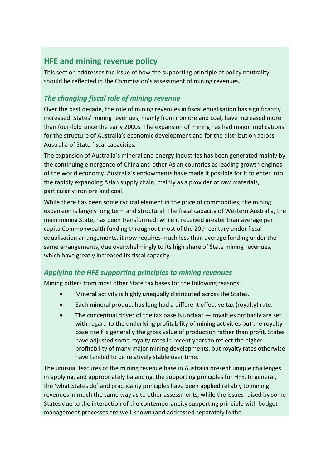# <span id="page-26-0"></span>**HFE and mining revenue policy**

This section addresses the issue of how the supporting principle of policy neutrality should be reflected in the Commission's assessment of mining revenues.

### *The changing fiscal role of mining revenue*

Over the past decade, the role of mining revenues in fiscal equalisation has significantly increased. States' mining revenues, mainly from iron ore and coal, have increased more than four-fold since the early 2000s. The expansion of mining has had major implications for the structure of Australia's economic development and for the distribution across Australia of State fiscal capacities.

The expansion of Australia's mineral and energy industries has been generated mainly by the continuing emergence of China and other Asian countries as leading growth engines of the world economy. Australia's endowments have made it possible for it to enter into the rapidly expanding Asian supply chain, mainly as a provider of raw materials, particularly iron ore and coal.

While there has been some cyclical element in the price of commodities, the mining expansion is largely long term and structural. The fiscal capacity of Western Australia, the main mining State, has been transformed: while it received greater than average per capita Commonwealth funding throughout most of the 20th century under fiscal equalisation arrangements, it now requires much less than average funding under the same arrangements, due overwhelmingly to its high share of State mining revenues, which have greatly increased its fiscal capacity.

#### *Applying the HFE supporting principles to mining revenues*

Mining differs from most other State tax bases for the following reasons.

- Mineral activity is highly unequally distributed across the States.
- Each mineral product has long had a different effective tax (royalty) rate.
- The conceptual driver of the tax base is unclear  $-$  royalties probably are set with regard to the underlying profitability of mining activities but the royalty base itself is generally the gross value of production rather than profit. States have adjusted some royalty rates in recent years to reflect the higher profitability of many major mining developments, but royalty rates otherwise have tended to be relatively stable over time.

The unusual features of the mining revenue base in Australia present unique challenges in applying, and appropriately balancing, the supporting principles for HFE. In general, the 'what States do' and practicality principles have been applied reliably to mining revenues in much the same way as to other assessments, while the issues raised by some States due to the interaction of the contemporaneity supporting principle with budget management processes are well-known (and addressed separately in the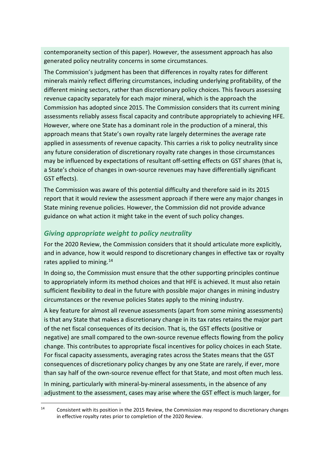contemporaneity section of this paper). However, the assessment approach has also generated policy neutrality concerns in some circumstances.

The Commission's judgment has been that differences in royalty rates for different minerals mainly reflect differing circumstances, including underlying profitability, of the different mining sectors, rather than discretionary policy choices. This favours assessing revenue capacity separately for each major mineral, which is the approach the Commission has adopted since 2015. The Commission considers that its current mining assessments reliably assess fiscal capacity and contribute appropriately to achieving HFE. However, where one State has a dominant role in the production of a mineral, this approach means that State's own royalty rate largely determines the average rate applied in assessments of revenue capacity. This carries a risk to policy neutrality since any future consideration of discretionary royalty rate changes in those circumstances may be influenced by expectations of resultant off-setting effects on GST shares (that is, a State's choice of changes in own-source revenues may have differentially significant GST effects).

The Commission was aware of this potential difficulty and therefore said in its 2015 report that it would review the assessment approach if there were any major changes in State mining revenue policies. However, the Commission did not provide advance guidance on what action it might take in the event of such policy changes.

#### *Giving appropriate weight to policy neutrality*

For the 2020 Review, the Commission considers that it should articulate more explicitly, and in advance, how it would respond to discretionary changes in effective tax or royalty rates applied to mining.<sup>[14](#page-27-0)</sup>

In doing so, the Commission must ensure that the other supporting principles continue to appropriately inform its method choices and that HFE is achieved. It must also retain sufficient flexibility to deal in the future with possible major changes in mining industry circumstances or the revenue policies States apply to the mining industry.

A key feature for almost all revenue assessments (apart from some mining assessments) is that any State that makes a discretionary change in its tax rates retains the major part of the net fiscal consequences of its decision. That is, the GST effects (positive or negative) are small compared to the own-source revenue effects flowing from the policy change. This contributes to appropriate fiscal incentives for policy choices in each State. For fiscal capacity assessments, averaging rates across the States means that the GST consequences of discretionary policy changes by any one State are rarely, if ever, more than say half of the own-source revenue effect for that State, and most often much less. In mining, particularly with mineral-by-mineral assessments, in the absence of any adjustment to the assessment, cases may arise where the GST effect is much larger, for

<span id="page-27-0"></span><sup>&</sup>lt;sup>14</sup> Consistent with its position in the 2015 Review, the Commission may respond to discretionary changes in effective royalty rates prior to completion of the 2020 Review.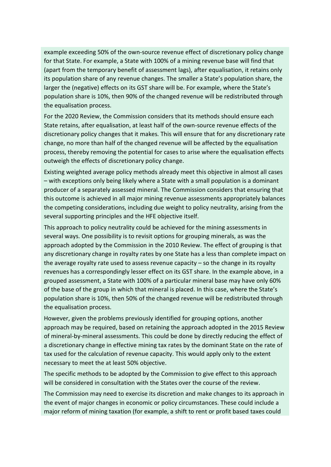example exceeding 50% of the own-source revenue effect of discretionary policy change for that State. For example, a State with 100% of a mining revenue base will find that (apart from the temporary benefit of assessment lags), after equalisation, it retains only its population share of any revenue changes. The smaller a State's population share, the larger the (negative) effects on its GST share will be. For example, where the State's population share is 10%, then 90% of the changed revenue will be redistributed through the equalisation process.

For the 2020 Review, the Commission considers that its methods should ensure each State retains, after equalisation, at least half of the own-source revenue effects of the discretionary policy changes that it makes. This will ensure that for any discretionary rate change, no more than half of the changed revenue will be affected by the equalisation process, thereby removing the potential for cases to arise where the equalisation effects outweigh the effects of discretionary policy change.

Existing weighted average policy methods already meet this objective in almost all cases – with exceptions only being likely where a State with a small population is a dominant producer of a separately assessed mineral. The Commission considers that ensuring that this outcome is achieved in all major mining revenue assessments appropriately balances the competing considerations, including due weight to policy neutrality, arising from the several supporting principles and the HFE objective itself.

This approach to policy neutrality could be achieved for the mining assessments in several ways. One possibility is to revisit options for grouping minerals, as was the approach adopted by the Commission in the 2010 Review. The effect of grouping is that any discretionary change in royalty rates by one State has a less than complete impact on the average royalty rate used to assess revenue capacity  $-$  so the change in its royalty revenues has a correspondingly lesser effect on its GST share. In the example above, in a grouped assessment, a State with 100% of a particular mineral base may have only 60% of the base of the group in which that mineral is placed. In this case, where the State's population share is 10%, then 50% of the changed revenue will be redistributed through the equalisation process.

However, given the problems previously identified for grouping options, another approach may be required, based on retaining the approach adopted in the 2015 Review of mineral-by-mineral assessments. This could be done by directly reducing the effect of a discretionary change in effective mining tax rates by the dominant State on the rate of tax used for the calculation of revenue capacity. This would apply only to the extent necessary to meet the at least 50% objective.

The specific methods to be adopted by the Commission to give effect to this approach will be considered in consultation with the States over the course of the review.

The Commission may need to exercise its discretion and make changes to its approach in the event of major changes in economic or policy circumstances. These could include a major reform of mining taxation (for example, a shift to rent or profit based taxes could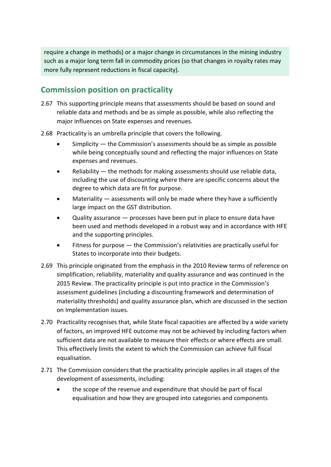require a change in methods) or a major change in circumstances in the mining industry such as a major long term fall in commodity prices (so that changes in royalty rates may more fully represent reductions in fiscal capacity).

# <span id="page-29-0"></span>**Commission position on practicality**

- 2.67 This supporting principle means that assessments should be based on sound and reliable data and methods and be as simple as possible, while also reflecting the major influences on State expenses and revenues.
- 2.68 Practicality is an umbrella principle that covers the following.
	- Simplicity  $-$  the Commission's assessments should be as simple as possible while being conceptually sound and reflecting the major influences on State expenses and revenues.
	- Reliability the methods for making assessments should use reliable data, including the use of discounting where there are specific concerns about the degree to which data are fit for purpose.
	- Materiality assessments will only be made where they have a sufficiently large impact on the GST distribution.
	- Quality assurance processes have been put in place to ensure data have been used and methods developed in a robust way and in accordance with HFE and the supporting principles.
	- Fitness for purpose the Commission's relativities are practically useful for States to incorporate into their budgets.
- 2.69 This principle originated from the emphasis in the 2010 Review terms of reference on simplification, reliability, materiality and quality assurance and was continued in the 2015 Review. The practicality principle is put into practice in the Commission's assessment guidelines (including a discounting framework and determination of materiality thresholds) and quality assurance plan, which are discussed in the section on Implementation issues.
- 2.70 Practicality recognises that, while State fiscal capacities are affected by a wide variety of factors, an improved HFE outcome may not be achieved by including factors when sufficient data are not available to measure their effects or where effects are small. This effectively limits the extent to which the Commission can achieve full fiscal equalisation.
- 2.71 The Commission considers that the practicality principle applies in all stages of the development of assessments, including:
	- the scope of the revenue and expenditure that should be part of fiscal equalisation and how they are grouped into categories and components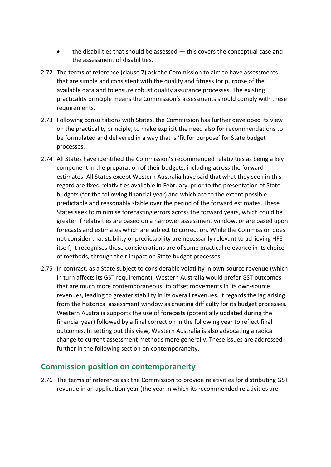- the disabilities that should be assessed  $-$  this covers the conceptual case and the assessment of disabilities.
- 2.72 The terms of reference (clause 7) ask the Commission to aim to have assessments that are simple and consistent with the quality and fitness for purpose of the available data and to ensure robust quality assurance processes. The existing practicality principle means the Commission's assessments should comply with these requirements.
- 2.73 Following consultations with States, the Commission has further developed its view on the practicality principle, to make explicit the need also for recommendations to be formulated and delivered in a way that is 'fit for purpose' for State budget processes.
- 2.74 All States have identified the Commission's recommended relativities as being a key component in the preparation of their budgets, including across the forward estimates. All States except Western Australia have said that what they seek in this regard are fixed relativities available in February, prior to the presentation of State budgets (for the following financial year) and which are to the extent possible predictable and reasonably stable over the period of the forward estimates. These States seek to minimise forecasting errors across the forward years, which could be greater if relativities are based on a narrower assessment window, or are based upon forecasts and estimates which are subject to correction. While the Commission does not consider that stability or predictability are necessarily relevant to achieving HFE itself, it recognises these considerations are of some practical relevance in its choice of methods, through their impact on State budget processes.
- 2.75 In contrast, as a State subject to considerable volatility in own-source revenue (which in turn affects its GST requirement), Western Australia would prefer GST outcomes that are much more contemporaneous, to offset movements in its own-source revenues, leading to greater stability in its overall revenues. It regards the lag arising from the historical assessment window as creating difficulty for its budget processes. Western Australia supports the use of forecasts (potentially updated during the financial year) followed by a final correction in the following year to reflect final outcomes. In setting out this view, Western Australia is also advocating a radical change to current assessment methods more generally. These issues are addressed further in the following section on contemporaneity.

### <span id="page-30-0"></span>**Commission position on contemporaneity**

2.76 The terms of reference ask the Commission to provide relativities for distributing GST revenue in an application year (the year in which its recommended relativities are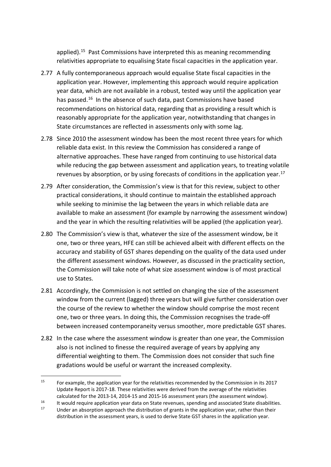applied)[.15](#page-31-0) Past Commissions have interpreted this as meaning recommending relativities appropriate to equalising State fiscal capacities in the application year.

- 2.77 A fully contemporaneous approach would equalise State fiscal capacities in the application year. However, implementing this approach would require application year data, which are not available in a robust, tested way until the application year has passed.<sup>16</sup> In the absence of such data, past Commissions have based recommendations on historical data, regarding that as providing a result which is reasonably appropriate for the application year, notwithstanding that changes in State circumstances are reflected in assessments only with some lag.
- 2.78 Since 2010 the assessment window has been the most recent three years for which reliable data exist. In this review the Commission has considered a range of alternative approaches. These have ranged from continuing to use historical data while reducing the gap between assessment and application years, to treating volatile revenues by absorption, or by using forecasts of conditions in the application year.[17](#page-31-2)
- 2.79 After consideration, the Commission's view is that for this review, subject to other practical considerations, it should continue to maintain the established approach while seeking to minimise the lag between the years in which reliable data are available to make an assessment (for example by narrowing the assessment window) and the year in which the resulting relativities will be applied (the application year).
- 2.80 The Commission's view is that, whatever the size of the assessment window, be it one, two or three years, HFE can still be achieved albeit with different effects on the accuracy and stability of GST shares depending on the quality of the data used under the different assessment windows. However, as discussed in the practicality section, the Commission will take note of what size assessment window is of most practical use to States.
- 2.81 Accordingly, the Commission is not settled on changing the size of the assessment window from the current (lagged) three years but will give further consideration over the course of the review to whether the window should comprise the most recent one, two or three years. In doing this, the Commission recognises the trade-off between increased contemporaneity versus smoother, more predictable GST shares.
- 2.82 In the case where the assessment window is greater than one year, the Commission also is not inclined to finesse the required average of years by applying any differential weighting to them. The Commission does not consider that such fine gradations would be useful or warrant the increased complexity.

<span id="page-31-0"></span><sup>&</sup>lt;sup>15</sup> For example, the application year for the relativities recommended by the Commission in its 2017 Update Report is 2017-18. These relativities were derived from the average of the relativities calculated for the 2013-14, 2014-15 and 2015-16 assessment years (the assessment window).

<span id="page-31-2"></span><span id="page-31-1"></span><sup>&</sup>lt;sup>16</sup> It would require application year data on State revenues, spending and associated State disabilities.

Under an absorption approach the distribution of grants in the application year, rather than their distribution in the assessment years, is used to derive State GST shares in the application year.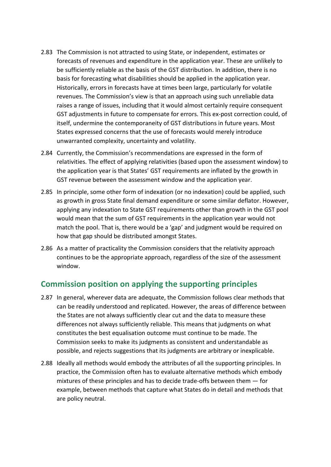- 2.83 The Commission is not attracted to using State, or independent, estimates or forecasts of revenues and expenditure in the application year. These are unlikely to be sufficiently reliable as the basis of the GST distribution. In addition, there is no basis for forecasting what disabilities should be applied in the application year. Historically, errors in forecasts have at times been large, particularly for volatile revenues. The Commission's view is that an approach using such unreliable data raises a range of issues, including that it would almost certainly require consequent GST adjustments in future to compensate for errors. This ex-post correction could, of itself, undermine the contemporaneity of GST distributions in future years. Most States expressed concerns that the use of forecasts would merely introduce unwarranted complexity, uncertainty and volatility.
- 2.84 Currently, the Commission's recommendations are expressed in the form of relativities. The effect of applying relativities (based upon the assessment window) to the application year is that States' GST requirements are inflated by the growth in GST revenue between the assessment window and the application year.
- 2.85 In principle, some other form of indexation (or no indexation) could be applied, such as growth in gross State final demand expenditure or some similar deflator. However, applying any indexation to State GST requirements other than growth in the GST pool would mean that the sum of GST requirements in the application year would not match the pool. That is, there would be a 'gap' and judgment would be required on how that gap should be distributed amongst States.
- 2.86 As a matter of practicality the Commission considers that the relativity approach continues to be the appropriate approach, regardless of the size of the assessment window.

# <span id="page-32-0"></span>**Commission position on applying the supporting principles**

- 2.87 In general, wherever data are adequate, the Commission follows clear methods that can be readily understood and replicated. However, the areas of difference between the States are not always sufficiently clear cut and the data to measure these differences not always sufficiently reliable. This means that judgments on what constitutes the best equalisation outcome must continue to be made. The Commission seeks to make its judgments as consistent and understandable as possible, and rejects suggestions that its judgments are arbitrary or inexplicable.
- 2.88 Ideally all methods would embody the attributes of all the supporting principles. In practice, the Commission often has to evaluate alternative methods which embody mixtures of these principles and has to decide trade-offs between them — for example, between methods that capture what States do in detail and methods that are policy neutral.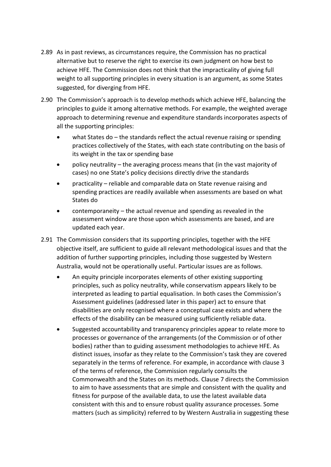- 2.89 As in past reviews, as circumstances require, the Commission has no practical alternative but to reserve the right to exercise its own judgment on how best to achieve HFE. The Commission does not think that the impracticality of giving full weight to all supporting principles in every situation is an argument, as some States suggested, for diverging from HFE.
- 2.90 The Commission's approach is to develop methods which achieve HFE, balancing the principles to guide it among alternative methods. For example, the weighted average approach to determining revenue and expenditure standards incorporates aspects of all the supporting principles:
	- what States do the standards reflect the actual revenue raising or spending practices collectively of the States, with each state contributing on the basis of its weight in the tax or spending base
	- policy neutrality the averaging process means that (in the vast majority of cases) no one State's policy decisions directly drive the standards
	- practicality reliable and comparable data on State revenue raising and spending practices are readily available when assessments are based on what States do
	- contemporaneity the actual revenue and spending as revealed in the assessment window are those upon which assessments are based, and are updated each year.
- 2.91 The Commission considers that its supporting principles, together with the HFE objective itself, are sufficient to guide all relevant methodological issues and that the addition of further supporting principles, including those suggested by Western Australia, would not be operationally useful. Particular issues are as follows.
	- An equity principle incorporates elements of other existing supporting principles, such as policy neutrality, while conservatism appears likely to be interpreted as leading to partial equalisation. In both cases the Commission's Assessment guidelines (addressed later in this paper) act to ensure that disabilities are only recognised where a conceptual case exists and where the effects of the disability can be measured using sufficiently reliable data.
	- Suggested accountability and transparency principles appear to relate more to processes or governance of the arrangements (of the Commission or of other bodies) rather than to guiding assessment methodologies to achieve HFE. As distinct issues, insofar as they relate to the Commission's task they are covered separately in the terms of reference. For example, in accordance with clause 3 of the terms of reference, the Commission regularly consults the Commonwealth and the States on its methods. Clause 7 directs the Commission to aim to have assessments that are simple and consistent with the quality and fitness for purpose of the available data, to use the latest available data consistent with this and to ensure robust quality assurance processes. Some matters (such as simplicity) referred to by Western Australia in suggesting these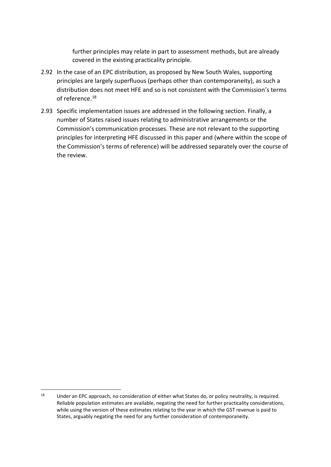further principles may relate in part to assessment methods, but are already covered in the existing practicality principle.

- 2.92 In the case of an EPC distribution, as proposed by New South Wales, supporting principles are largely superfluous (perhaps other than contemporaneity), as such a distribution does not meet HFE and so is not consistent with the Commission's terms of reference.[18](#page-34-0)
- 2.93 Specific implementation issues are addressed in the following section. Finally, a number of States raised issues relating to administrative arrangements or the Commission's communication processes. These are not relevant to the supporting principles for interpreting HFE discussed in this paper and (where within the scope of the Commission's terms of reference) will be addressed separately over the course of the review.

<span id="page-34-0"></span><sup>&</sup>lt;sup>18</sup> Under an EPC approach, no consideration of either what States do, or policy neutrality, is required. Reliable population estimates are available, negating the need for further practicality considerations, while using the version of these estimates relating to the year in which the GST revenue is paid to States, arguably negating the need for any further consideration of contemporaneity.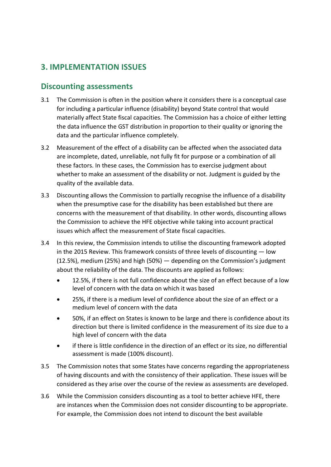# <span id="page-35-0"></span>**3. IMPLEMENTATION ISSUES**

### <span id="page-35-1"></span>**Discounting assessments**

- 3.1 The Commission is often in the position where it considers there is a conceptual case for including a particular influence (disability) beyond State control that would materially affect State fiscal capacities. The Commission has a choice of either letting the data influence the GST distribution in proportion to their quality or ignoring the data and the particular influence completely.
- 3.2 Measurement of the effect of a disability can be affected when the associated data are incomplete, dated, unreliable, not fully fit for purpose or a combination of all these factors. In these cases, the Commission has to exercise judgment about whether to make an assessment of the disability or not. Judgment is guided by the quality of the available data.
- 3.3 Discounting allows the Commission to partially recognise the influence of a disability when the presumptive case for the disability has been established but there are concerns with the measurement of that disability. In other words, discounting allows the Commission to achieve the HFE objective while taking into account practical issues which affect the measurement of State fiscal capacities.
- 3.4 In this review, the Commission intends to utilise the discounting framework adopted in the 2015 Review. This framework consists of three levels of discounting — low (12.5%), medium (25%) and high (50%) — depending on the Commission's judgment about the reliability of the data. The discounts are applied as follows:
	- 12.5%, if there is not full confidence about the size of an effect because of a low level of concern with the data on which it was based
	- 25%, if there is a medium level of confidence about the size of an effect or a medium level of concern with the data
	- 50%, if an effect on States is known to be large and there is confidence about its direction but there is limited confidence in the measurement of its size due to a high level of concern with the data
	- if there is little confidence in the direction of an effect or its size, no differential assessment is made (100% discount).
- 3.5 The Commission notes that some States have concerns regarding the appropriateness of having discounts and with the consistency of their application. These issues will be considered as they arise over the course of the review as assessments are developed.
- 3.6 While the Commission considers discounting as a tool to better achieve HFE, there are instances when the Commission does not consider discounting to be appropriate. For example, the Commission does not intend to discount the best available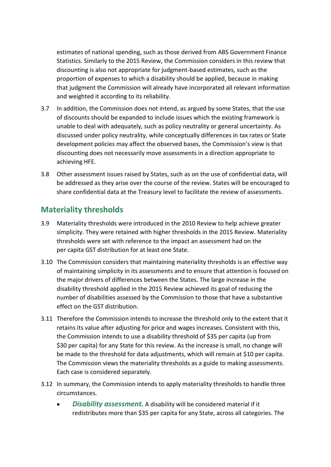estimates of national spending, such as those derived from ABS Government Finance Statistics. Similarly to the 2015 Review, the Commission considers in this review that discounting is also not appropriate for judgment-based estimates, such as the proportion of expenses to which a disability should be applied, because in making that judgment the Commission will already have incorporated all relevant information and weighted it according to its reliability.

- 3.7 In addition, the Commission does not intend, as argued by some States, that the use of discounts should be expanded to include issues which the existing framework is unable to deal with adequately, such as policy neutrality or general uncertainty. As discussed under policy neutrality, while conceptually differences in tax rates or State development policies may affect the observed bases, the Commission's view is that discounting does not necessarily move assessments in a direction appropriate to achieving HFE.
- 3.8 Other assessment issues raised by States, such as on the use of confidential data, will be addressed as they arise over the course of the review. States will be encouraged to share confidential data at the Treasury level to facilitate the review of assessments.

### <span id="page-36-0"></span>**Materiality thresholds**

- 3.9 Materiality thresholds were introduced in the 2010 Review to help achieve greater simplicity. They were retained with higher thresholds in the 2015 Review. Materiality thresholds were set with reference to the impact an assessment had on the per capita GST distribution for at least one State.
- 3.10 The Commission considers that maintaining materiality thresholds is an effective way of maintaining simplicity in its assessments and to ensure that attention is focused on the major drivers of differences between the States. The large increase in the disability threshold applied in the 2015 Review achieved its goal of reducing the number of disabilities assessed by the Commission to those that have a substantive effect on the GST distribution.
- 3.11 Therefore the Commission intends to increase the threshold only to the extent that it retains its value after adjusting for price and wages increases. Consistent with this, the Commission intends to use a disability threshold of \$35 per capita (up from \$30 per capita) for any State for this review. As the increase is small, no change will be made to the threshold for data adjustments, which will remain at \$10 per capita. The Commission views the materiality thresholds as a guide to making assessments. Each case is considered separately.
- 3.12 In summary, the Commission intends to apply materiality thresholds to handle three circumstances.
	- *Disability assessment.* A disability will be considered material if it redistributes more than \$35 per capita for any State, across all categories. The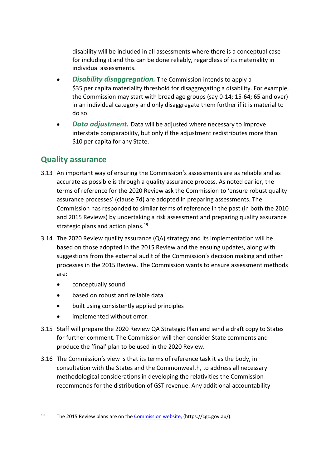disability will be included in all assessments where there is a conceptual case for including it and this can be done reliably, regardless of its materiality in individual assessments.

- *Disability disaggregation.* The Commission intends to apply a \$35 per capita materiality threshold for disaggregating a disability. For example, the Commission may start with broad age groups (say 0-14; 15-64; 65 and over) in an individual category and only disaggregate them further if it is material to do so.
- *Data adjustment.* Data will be adjusted where necessary to improve interstate comparability, but only if the adjustment redistributes more than \$10 per capita for any State.

### <span id="page-37-0"></span>**Quality assurance**

- 3.13 An important way of ensuring the Commission's assessments are as reliable and as accurate as possible is through a quality assurance process. As noted earlier, the terms of reference for the 2020 Review ask the Commission to 'ensure robust quality assurance processes' (clause 7d) are adopted in preparing assessments. The Commission has responded to similar terms of reference in the past (in both the 2010 and 2015 Reviews) by undertaking a risk assessment and preparing quality assurance strategic plans and action plans. $19$
- 3.14 The 2020 Review quality assurance (QA) strategy and its implementation will be based on those adopted in the 2015 Review and the ensuing updates, along with suggestions from the external audit of the Commission's decision making and other processes in the 2015 Review. The Commission wants to ensure assessment methods are:
	- conceptually sound
	- based on robust and reliable data
	- built using consistently applied principles
	- implemented without error.
- 3.15 Staff will prepare the 2020 Review QA Strategic Plan and send a draft copy to States for further comment. The Commission will then consider State comments and produce the 'final' plan to be used in the 2020 Review.
- 3.16 The Commission's view is that its terms of reference task it as the body, in consultation with the States and the Commonwealth, to address all necessary methodological considerations in developing the relativities the Commission recommends for the distribution of GST revenue. Any additional accountability

<span id="page-37-1"></span><sup>19</sup> The 2015 Review plans are on the [Commission website,](https://cgc.gov.au/index.php?option=com_content&view=article&id=219&Itemid=318) (https://cgc.gov.au/).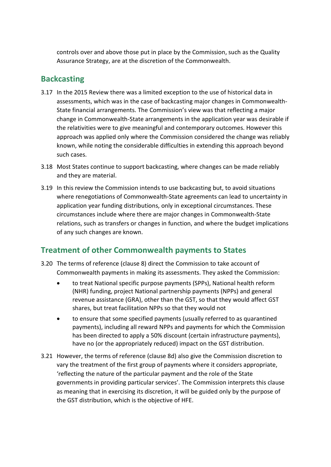controls over and above those put in place by the Commission, such as the Quality Assurance Strategy, are at the discretion of the Commonwealth.

# <span id="page-38-0"></span>**Backcasting**

- 3.17 In the 2015 Review there was a limited exception to the use of historical data in assessments, which was in the case of backcasting major changes in Commonwealth-State financial arrangements. The Commission's view was that reflecting a major change in Commonwealth-State arrangements in the application year was desirable if the relativities were to give meaningful and contemporary outcomes. However this approach was applied only where the Commission considered the change was reliably known, while noting the considerable difficulties in extending this approach beyond such cases.
- 3.18 Most States continue to support backcasting, where changes can be made reliably and they are material.
- 3.19 In this review the Commission intends to use backcasting but, to avoid situations where renegotiations of Commonwealth-State agreements can lead to uncertainty in application year funding distributions, only in exceptional circumstances. These circumstances include where there are major changes in Commonwealth-State relations, such as transfers or changes in function, and where the budget implications of any such changes are known.

# <span id="page-38-1"></span>**Treatment of other Commonwealth payments to States**

- 3.20 The terms of reference (clause 8) direct the Commission to take account of Commonwealth payments in making its assessments. They asked the Commission:
	- to treat National specific purpose payments (SPPs), National health reform (NHR) funding, project National partnership payments (NPPs) and general revenue assistance (GRA), other than the GST, so that they would affect GST shares, but treat facilitation NPPs so that they would not
	- to ensure that some specified payments (usually referred to as quarantined payments), including all reward NPPs and payments for which the Commission has been directed to apply a 50% discount (certain infrastructure payments), have no (or the appropriately reduced) impact on the GST distribution.
- 3.21 However, the terms of reference (clause 8d) also give the Commission discretion to vary the treatment of the first group of payments where it considers appropriate, 'reflecting the nature of the particular payment and the role of the State governments in providing particular services'. The Commission interprets this clause as meaning that in exercising its discretion, it will be guided only by the purpose of the GST distribution, which is the objective of HFE.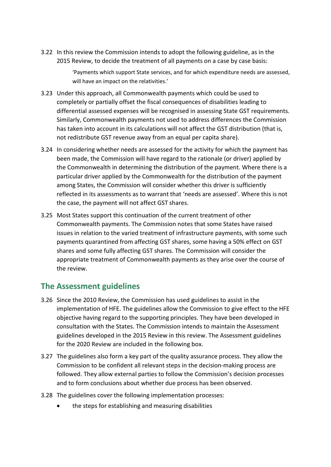3.22 In this review the Commission intends to adopt the following guideline, as in the 2015 Review, to decide the treatment of all payments on a case by case basis:

> 'Payments which support State services, and for which expenditure needs are assessed, will have an impact on the relativities.'

- 3.23 Under this approach, all Commonwealth payments which could be used to completely or partially offset the fiscal consequences of disabilities leading to differential assessed expenses will be recognised in assessing State GST requirements. Similarly, Commonwealth payments not used to address differences the Commission has taken into account in its calculations will not affect the GST distribution (that is, not redistribute GST revenue away from an equal per capita share).
- 3.24 In considering whether needs are assessed for the activity for which the payment has been made, the Commission will have regard to the rationale (or driver) applied by the Commonwealth in determining the distribution of the payment. Where there is a particular driver applied by the Commonwealth for the distribution of the payment among States, the Commission will consider whether this driver is sufficiently reflected in its assessments as to warrant that 'needs are assessed'. Where this is not the case, the payment will not affect GST shares.
- 3.25 Most States support this continuation of the current treatment of other Commonwealth payments. The Commission notes that some States have raised issues in relation to the varied treatment of infrastructure payments, with some such payments quarantined from affecting GST shares, some having a 50% effect on GST shares and some fully affecting GST shares. The Commission will consider the appropriate treatment of Commonwealth payments as they arise over the course of the review.

### <span id="page-39-0"></span>**The Assessment guidelines**

- 3.26 Since the 2010 Review, the Commission has used guidelines to assist in the implementation of HFE. The guidelines allow the Commission to give effect to the HFE objective having regard to the supporting principles. They have been developed in consultation with the States. The Commission intends to maintain the Assessment guidelines developed in the 2015 Review in this review. The Assessment guidelines for the 2020 Review are included in the following box.
- 3.27 The guidelines also form a key part of the quality assurance process. They allow the Commission to be confident all relevant steps in the decision-making process are followed. They allow external parties to follow the Commission's decision processes and to form conclusions about whether due process has been observed.
- 3.28 The guidelines cover the following implementation processes:
	- the steps for establishing and measuring disabilities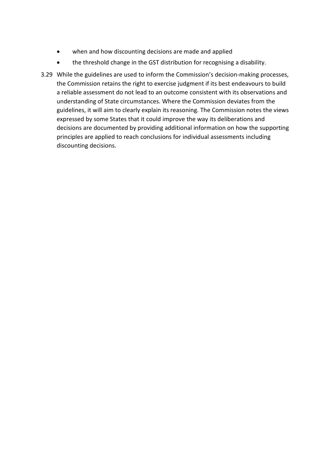- when and how discounting decisions are made and applied
- the threshold change in the GST distribution for recognising a disability.
- 3.29 While the guidelines are used to inform the Commission's decision-making processes, the Commission retains the right to exercise judgment if its best endeavours to build a reliable assessment do not lead to an outcome consistent with its observations and understanding of State circumstances. Where the Commission deviates from the guidelines, it will aim to clearly explain its reasoning. The Commission notes the views expressed by some States that it could improve the way its deliberations and decisions are documented by providing additional information on how the supporting principles are applied to reach conclusions for individual assessments including discounting decisions.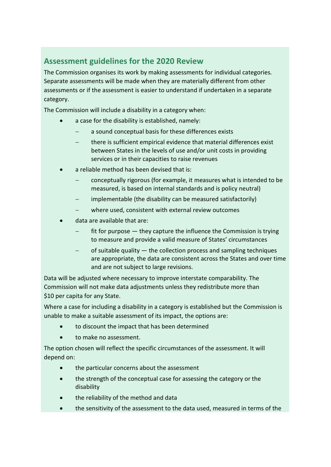# <span id="page-41-0"></span>**Assessment guidelines for the 2020 Review**

The Commission organises its work by making assessments for individual categories. Separate assessments will be made when they are materially different from other assessments or if the assessment is easier to understand if undertaken in a separate category.

The Commission will include a disability in a category when:

- a case for the disability is established, namely:
	- a sound conceptual basis for these differences exists
	- there is sufficient empirical evidence that material differences exist between States in the levels of use and/or unit costs in providing services or in their capacities to raise revenues
- a reliable method has been devised that is:
	- − conceptually rigorous (for example, it measures what is intended to be measured, is based on internal standards and is policy neutral)
	- implementable (the disability can be measured satisfactorily)
	- where used, consistent with external review outcomes
- data are available that are:
	- $fit$  for purpose  $-$  they capture the influence the Commission is trying to measure and provide a valid measure of States' circumstances
	- of suitable quality the collection process and sampling techniques are appropriate, the data are consistent across the States and over time and are not subject to large revisions.

Data will be adjusted where necessary to improve interstate comparability. The Commission will not make data adjustments unless they redistribute more than \$10 per capita for any State.

Where a case for including a disability in a category is established but the Commission is unable to make a suitable assessment of its impact, the options are:

- to discount the impact that has been determined
- to make no assessment.

The option chosen will reflect the specific circumstances of the assessment. It will depend on:

- the particular concerns about the assessment
- the strength of the conceptual case for assessing the category or the disability
- the reliability of the method and data
- the sensitivity of the assessment to the data used, measured in terms of the